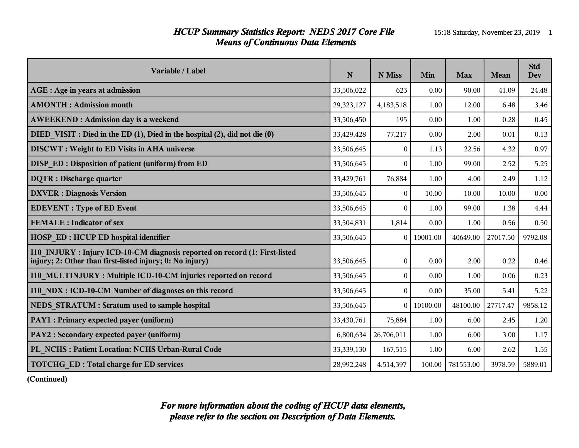#### *HCUP Summary Statistics Report: NEDS 2017 Core File* 15:18 Saturday, November 23, 2019 1 *Means of Continuous Data Elements*

| Variable / Label                                                                                                                       | N          | N Miss       | Min      | <b>Max</b> | <b>Mean</b> | <b>Std</b><br>Dev |
|----------------------------------------------------------------------------------------------------------------------------------------|------------|--------------|----------|------------|-------------|-------------------|
| AGE : Age in years at admission                                                                                                        | 33,506,022 | 623          | 0.00     | 90.00      | 41.09       | 24.48             |
| <b>AMONTH: Admission month</b>                                                                                                         | 29,323,127 | 4,183,518    | 1.00     | 12.00      | 6.48        | 3.46              |
| <b>AWEEKEND: Admission day is a weekend</b>                                                                                            | 33,506,450 | 195          | 0.00     | 1.00       | 0.28        | 0.45              |
| DIED VISIT : Died in the ED (1), Died in the hospital (2), did not die (0)                                                             | 33,429,428 | 77,217       | 0.00     | 2.00       | 0.01        | 0.13              |
| <b>DISCWT</b> : Weight to ED Visits in AHA universe                                                                                    | 33,506,645 | $\Omega$     | 1.13     | 22.56      | 4.32        | 0.97              |
| DISP ED: Disposition of patient (uniform) from ED                                                                                      | 33,506,645 | $\Omega$     | 1.00     | 99.00      | 2.52        | 5.25              |
| <b>DQTR</b> : Discharge quarter                                                                                                        | 33,429,761 | 76,884       | 1.00     | 4.00       | 2.49        | 1.12              |
| <b>DXVER</b> : Diagnosis Version                                                                                                       | 33,506,645 | $\theta$     | 10.00    | 10.00      | 10.00       | 0.00              |
| <b>EDEVENT</b> : Type of ED Event                                                                                                      | 33,506,645 | $\theta$     | 1.00     | 99.00      | 1.38        | 4.44              |
| <b>FEMALE: Indicator of sex</b>                                                                                                        | 33,504,831 | 1,814        | 0.00     | 1.00       | 0.56        | 0.50              |
| <b>HOSP ED: HCUP ED hospital identifier</b>                                                                                            | 33,506,645 | $\theta$     | 10001.00 | 40649.00   | 27017.50    | 9792.08           |
| I10 INJURY: Injury ICD-10-CM diagnosis reported on record (1: First-listed<br>injury; 2: Other than first-listed injury; 0: No injury) | 33,506,645 | $\mathbf{0}$ | 0.00     | 2.00       | 0.22        | 0.46              |
| I10 MULTINJURY: Multiple ICD-10-CM injuries reported on record                                                                         | 33,506,645 | $\theta$     | 0.00     | 1.00       | 0.06        | 0.23              |
| I10 NDX : ICD-10-CM Number of diagnoses on this record                                                                                 | 33,506,645 | $\theta$     | 0.00     | 35.00      | 5.41        | 5.22              |
| <b>NEDS STRATUM: Stratum used to sample hospital</b>                                                                                   | 33,506,645 | $\Omega$     | 10100.00 | 48100.00   | 27717.47    | 9858.12           |
| PAY1 : Primary expected payer (uniform)                                                                                                | 33,430,761 | 75,884       | 1.00     | 6.00       | 2.45        | 1.20              |
| PAY2 : Secondary expected payer (uniform)                                                                                              | 6,800,634  | 26,706,011   | 1.00     | 6.00       | 3.00        | 1.17              |
| PL NCHS : Patient Location: NCHS Urban-Rural Code                                                                                      | 33,339,130 | 167,515      | 1.00     | 6.00       | 2.62        | 1.55              |
| <b>TOTCHG ED: Total charge for ED services</b>                                                                                         | 28,992,248 | 4,514,397    | 100.00   | 781553.00  | 3978.59     | 5889.01           |

**(Continued)**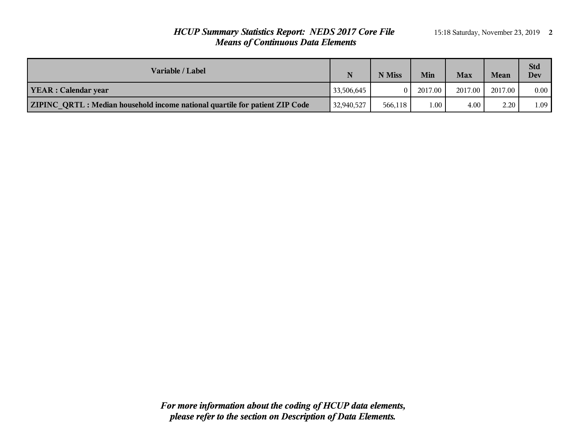# *HCUP Summary Statistics Report: NEDS 2017 Core File* 15:18 Saturday, November 23, 2019 2 *Means of Continuous Data Elements*

| Variable / Label                                                            | N          | N Miss   | Min      | <b>Max</b> | Mean    | <b>Std</b><br>Dev |
|-----------------------------------------------------------------------------|------------|----------|----------|------------|---------|-------------------|
| <b>YEAR</b> : Calendar year                                                 | 33,506,645 | $\Omega$ | 2017.00  | 2017.00    | 2017.00 | $0.00\,$          |
| ZIPINC QRTL: Median household income national quartile for patient ZIP Code | 32,940,527 | 566.118  | $1.00 -$ | 4.00       | 2.20    | 1.09              |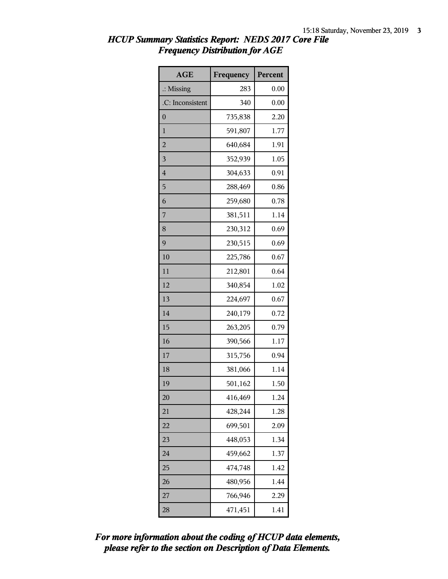| <b>AGE</b>           | Frequency | Percent |
|----------------------|-----------|---------|
| $\therefore$ Missing | 283       | 0.00    |
| .C: Inconsistent     | 340       | 0.00    |
| $\overline{0}$       | 735,838   | 2.20    |
| 1                    | 591,807   | 1.77    |
| $\overline{2}$       | 640,684   | 1.91    |
| 3                    | 352,939   | 1.05    |
| $\overline{4}$       | 304,633   | 0.91    |
| 5                    | 288,469   | 0.86    |
| 6                    | 259,680   | 0.78    |
| $\overline{7}$       | 381,511   | 1.14    |
| 8                    | 230,312   | 0.69    |
| 9                    | 230,515   | 0.69    |
| 10                   | 225,786   | 0.67    |
| 11                   | 212,801   | 0.64    |
| 12                   | 340,854   | 1.02    |
| 13                   | 224,697   | 0.67    |
| 14                   | 240,179   | 0.72    |
| 15                   | 263,205   | 0.79    |
| 16                   | 390,566   | 1.17    |
| 17                   | 315,756   | 0.94    |
| 18                   | 381,066   | 1.14    |
| 19                   | 501,162   | 1.50    |
| 20                   | 416,469   | 1.24    |
| 21                   | 428,244   | 1.28    |
| 22                   | 699,501   | 2.09    |
| 23                   | 448,053   | 1.34    |
| 24                   | 459,662   | 1.37    |
| 25                   | 474,748   | 1.42    |
| 26                   | 480,956   | 1.44    |
| 27                   | 766,946   | 2.29    |
| 28                   | 471,451   | 1.41    |

#### *HCUP Summary Statistics Report: NEDS 2017 Core File Frequency Distribution for AGE*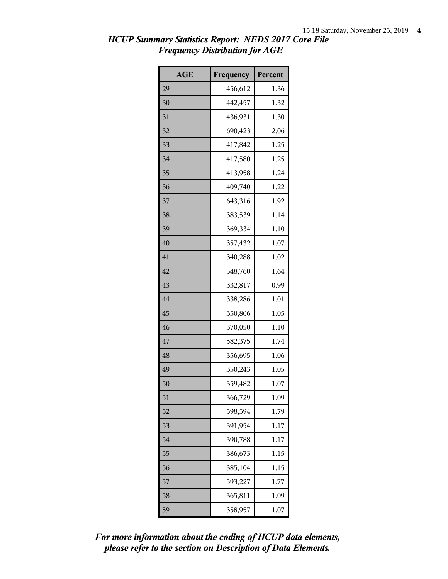| <b>AGE</b> | Frequency | Percent |
|------------|-----------|---------|
| 29         | 456,612   | 1.36    |
| 30         | 442,457   | 1.32    |
| 31         | 436,931   | 1.30    |
| 32         | 690,423   | 2.06    |
| 33         | 417,842   | 1.25    |
| 34         | 417,580   | 1.25    |
| 35         | 413,958   | 1.24    |
| 36         | 409,740   | 1.22    |
| 37         | 643,316   | 1.92    |
| 38         | 383,539   | 1.14    |
| 39         | 369,334   | 1.10    |
| 40         | 357,432   | 1.07    |
| 41         | 340,288   | 1.02    |
| 42         | 548,760   | 1.64    |
| 43         | 332,817   | 0.99    |
| 44         | 338,286   | 1.01    |
| 45         | 350,806   | 1.05    |
| 46         | 370,050   | 1.10    |
| 47         | 582,375   | 1.74    |
| 48         | 356,695   | 1.06    |
| 49         | 350,243   | 1.05    |
| 50         | 359,482   | 1.07    |
| 51         | 366,729   | 1.09    |
| 52         | 598,594   | 1.79    |
| 53         | 391,954   | 1.17    |
| 54         | 390,788   | 1.17    |
| 55         | 386,673   | 1.15    |
| 56         | 385,104   | 1.15    |
| 57         | 593,227   | 1.77    |
| 58         | 365,811   | 1.09    |
| 59         | 358,957   | 1.07    |

# *HCUP Summary Statistics Report: NEDS 2017 Core File Frequency Distribution for AGE*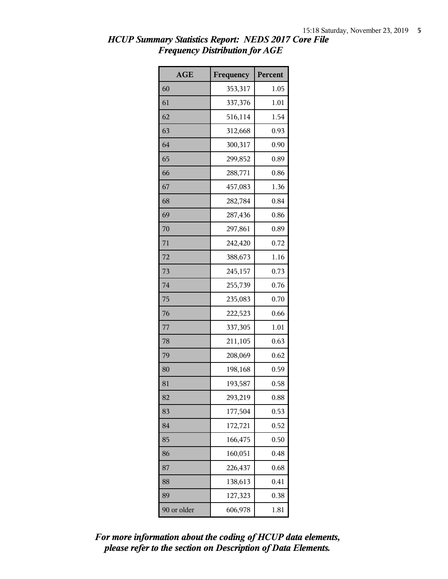| <b>AGE</b>  | Frequency | Percent |
|-------------|-----------|---------|
| 60          | 353,317   | 1.05    |
| 61          | 337,376   | 1.01    |
| 62          | 516,114   | 1.54    |
| 63          | 312,668   | 0.93    |
| 64          | 300,317   | 0.90    |
| 65          | 299,852   | 0.89    |
| 66          | 288,771   | 0.86    |
| 67          | 457,083   | 1.36    |
| 68          | 282,784   | 0.84    |
| 69          | 287,436   | 0.86    |
| 70          | 297,861   | 0.89    |
| 71          | 242,420   | 0.72    |
| 72          | 388,673   | 1.16    |
| 73          | 245,157   | 0.73    |
| 74          | 255,739   | 0.76    |
| 75          | 235,083   | 0.70    |
| 76          | 222,523   | 0.66    |
| 77          | 337,305   | 1.01    |
| 78          | 211,105   | 0.63    |
| 79          | 208,069   | 0.62    |
| 80          | 198,168   | 0.59    |
| 81          | 193,587   | 0.58    |
| 82          | 293,219   | 0.88    |
| 83          | 177,504   | 0.53    |
| 84          | 172,721   | 0.52    |
| 85          | 166,475   | 0.50    |
| 86          | 160,051   | 0.48    |
| 87          | 226,437   | 0.68    |
| 88          | 138,613   | 0.41    |
| 89          | 127,323   | 0.38    |
| 90 or older | 606,978   | 1.81    |

# *HCUP Summary Statistics Report: NEDS 2017 Core File Frequency Distribution for AGE*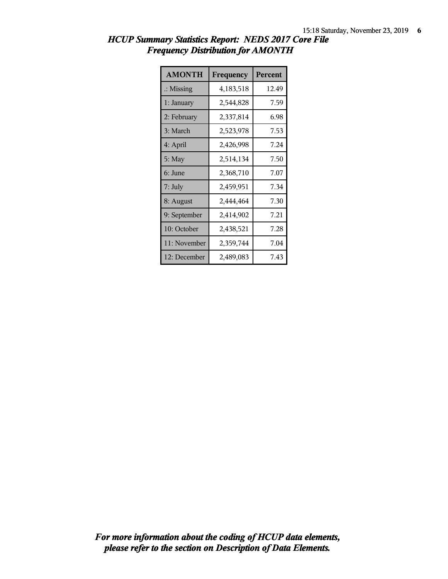| <b>AMONTH</b>        | Frequency   | Percent |
|----------------------|-------------|---------|
| $\therefore$ Missing | 4, 183, 518 | 12.49   |
| 1: January           | 2,544,828   | 7.59    |
| 2: February          | 2,337,814   | 6.98    |
| 3: March             | 2,523,978   | 7.53    |
| 4: April             | 2,426,998   | 7.24    |
| 5: May               | 2,514,134   | 7.50    |
| 6: June              | 2,368,710   | 7.07    |
| 7: July              | 2,459,951   | 7.34    |
| 8: August            | 2,444,464   | 7.30    |
| 9: September         | 2,414,902   | 7.21    |
| 10: October          | 2,438,521   | 7.28    |
| 11: November         | 2,359,744   | 7.04    |
| 12: December         | 2,489,083   | 7.43    |

# *HCUP Summary Statistics Report: NEDS 2017 Core File Frequency Distribution for AMONTH*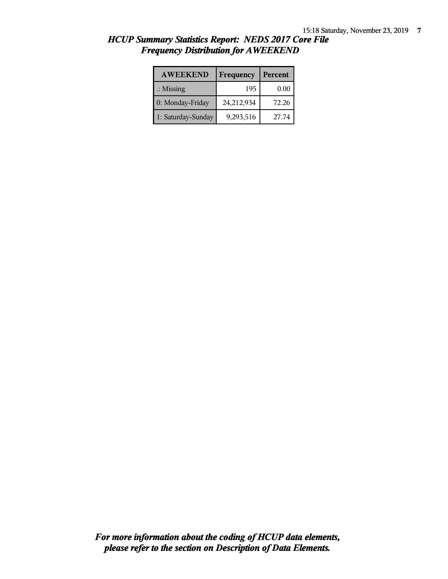| <b>AWEEKEND</b>      | Frequency  | Percent |
|----------------------|------------|---------|
| $\therefore$ Missing | 195        | 0.00    |
| 0: Monday-Friday     | 24,212,934 | 72.26   |
| 1: Saturday-Sunday   | 9,293,516  | 27.74   |

#### *HCUP Summary Statistics Report: NEDS 2017 Core File Frequency Distribution for AWEEKEND*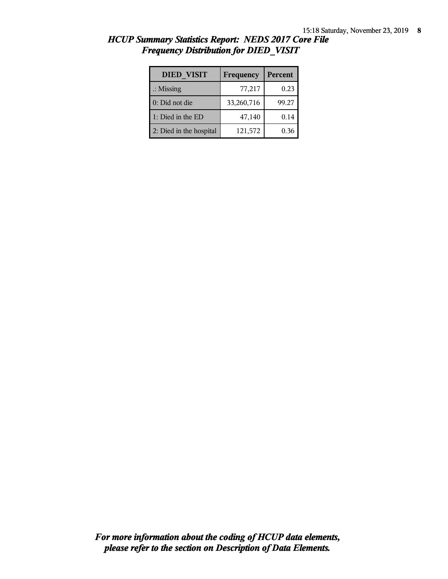| <b>DIED VISIT</b>       | Frequency  | <b>Percent</b> |
|-------------------------|------------|----------------|
| $\therefore$ Missing    | 77,217     | 0.23           |
| 0: Did not die          | 33,260,716 | 99.27          |
| 1: Died in the ED       | 47,140     | 0.14           |
| 2: Died in the hospital | 121,572    | 0.36           |

#### *HCUP Summary Statistics Report: NEDS 2017 Core File Frequency Distribution for DIED\_VISIT*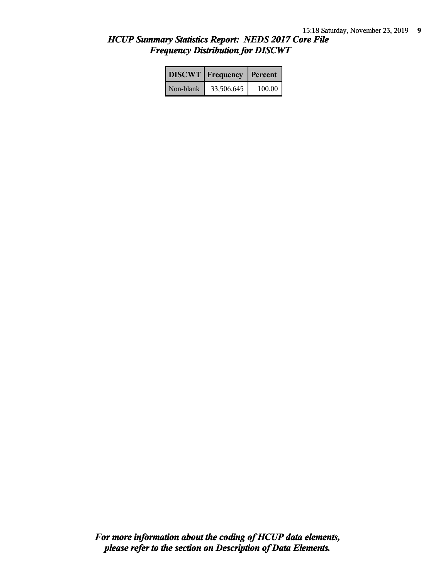# *HCUP Summary Statistics Report: NEDS 2017 Core File Frequency Distribution for DISCWT*

|           | <b>DISCWT</b>   Frequency   Percent |        |
|-----------|-------------------------------------|--------|
| Non-blank | 33,506,645                          | 100.00 |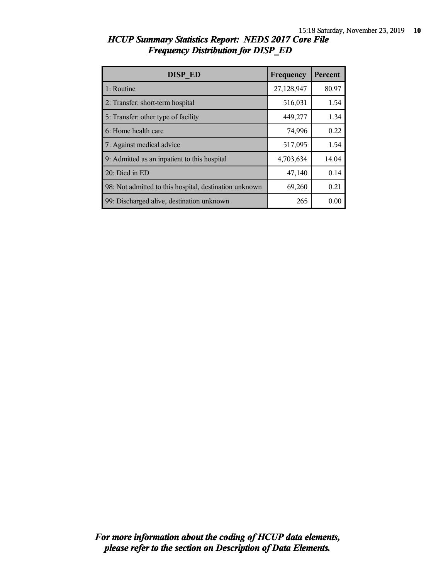| DISP ED                                                | Frequency  | Percent |
|--------------------------------------------------------|------------|---------|
| 1: Routine                                             | 27,128,947 | 80.97   |
| 2: Transfer: short-term hospital                       | 516,031    | 1.54    |
| 5: Transfer: other type of facility                    | 449,277    | 1.34    |
| 6: Home health care                                    | 74,996     | 0.22    |
| 7: Against medical advice                              | 517,095    | 1.54    |
| 9: Admitted as an inpatient to this hospital           | 4,703,634  | 14.04   |
| 20: Died in ED                                         | 47,140     | 0.14    |
| 98: Not admitted to this hospital, destination unknown | 69,260     | 0.21    |
| 99: Discharged alive, destination unknown              | 265        | 0.00    |

# *HCUP Summary Statistics Report: NEDS 2017 Core File Frequency Distribution for DISP\_ED*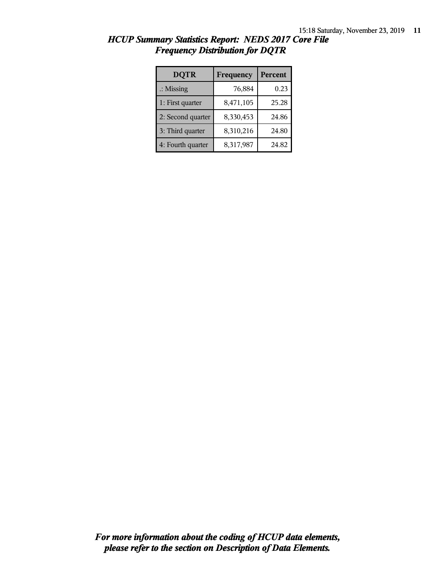| <b>DQTR</b>          | Frequency | Percent |
|----------------------|-----------|---------|
| $\therefore$ Missing | 76,884    | 0.23    |
| 1: First quarter     | 8,471,105 | 25.28   |
| 2: Second quarter    | 8,330,453 | 24.86   |
| 3: Third quarter     | 8,310,216 | 24.80   |
| 4: Fourth quarter    | 8,317,987 | 24.82   |

#### *HCUP Summary Statistics Report: NEDS 2017 Core File Frequency Distribution for DQTR*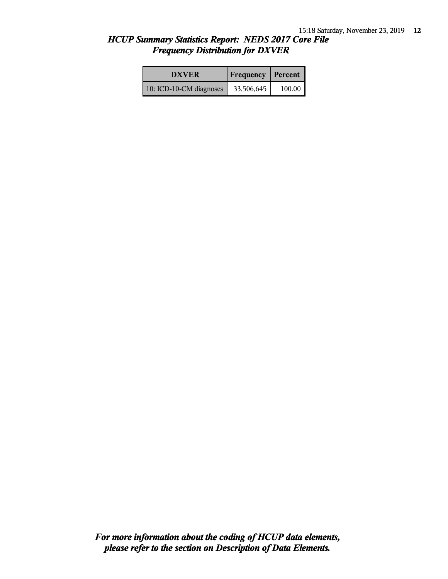#### *HCUP Summary Statistics Report: NEDS 2017 Core File Frequency Distribution for DXVER*

| <b>DXVER</b>            | <b>Frequency Percent</b> |        |
|-------------------------|--------------------------|--------|
| 10: ICD-10-CM diagnoses | 33,506,645               | 100.00 |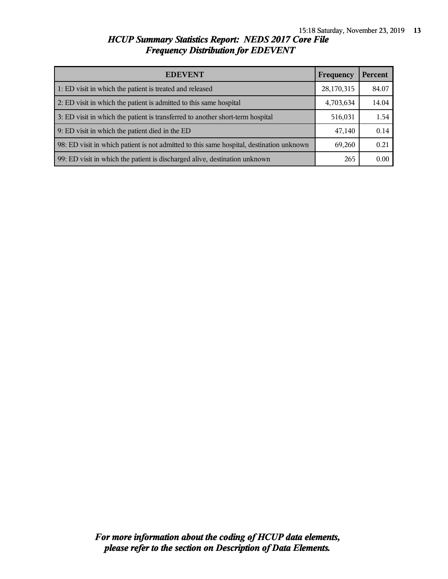# *HCUP Summary Statistics Report: NEDS 2017 Core File Frequency Distribution for EDEVENT*

| <b>EDEVENT</b>                                                                           | Frequency  | Percent |
|------------------------------------------------------------------------------------------|------------|---------|
| 1: ED visit in which the patient is treated and released                                 | 28,170,315 | 84.07   |
| 2: ED visit in which the patient is admitted to this same hospital                       | 4,703,634  | 14.04   |
| 3: ED visit in which the patient is transferred to another short-term hospital           | 516,031    | 1.54    |
| 9: ED visit in which the patient died in the ED                                          | 47,140     | 0.14    |
| 98: ED visit in which patient is not admitted to this same hospital, destination unknown | 69,260     | 0.21    |
| 99: ED visit in which the patient is discharged alive, destination unknown               | 265        | 0.00    |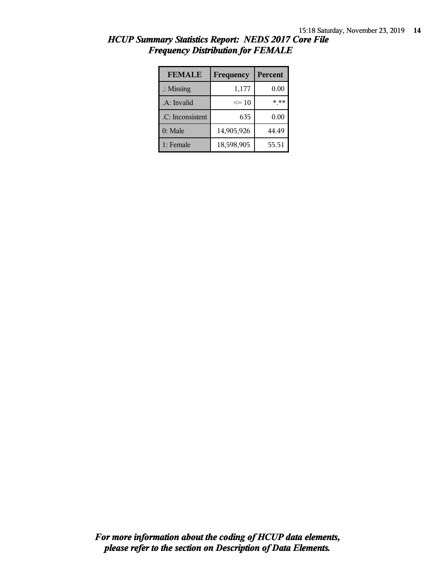| <b>FEMALE</b>        | Frequency  | <b>Percent</b> |
|----------------------|------------|----------------|
| $\therefore$ Missing | 1,177      | 0.00           |
| .A: Invalid          | $\leq 10$  | * **           |
| .C: Inconsistent     | 635        | 0.00           |
| $0:$ Male            | 14,905,926 | 44.49          |
| 1: Female            | 18,598,905 | 55.51          |

# *HCUP Summary Statistics Report: NEDS 2017 Core File Frequency Distribution for FEMALE*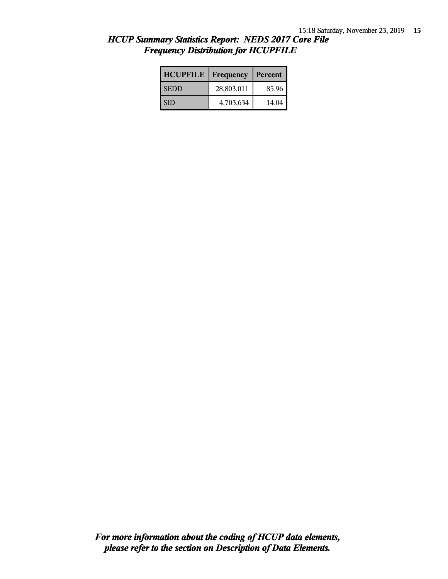# *HCUP Summary Statistics Report: NEDS 2017 Core File Frequency Distribution for HCUPFILE*

| <b>HCUPFILE</b> | Frequency  | Percent |
|-----------------|------------|---------|
| <b>SEDD</b>     | 28,803,011 | 85.96   |
| I SID           | 4,703,634  | 14.04   |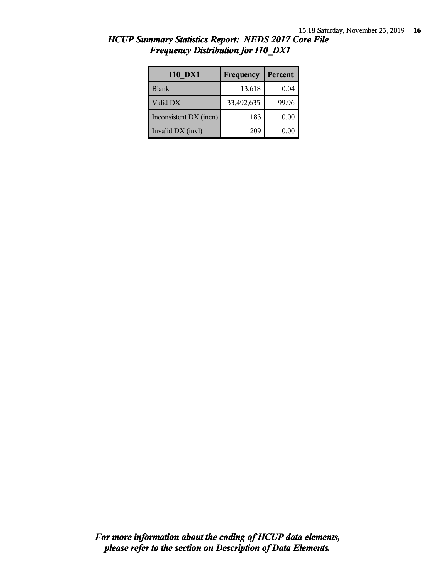| <b>I10 DX1</b>         | Frequency  | Percent |
|------------------------|------------|---------|
| <b>Blank</b>           | 13,618     | 0.04    |
| Valid DX               | 33,492,635 | 99.96   |
| Inconsistent DX (incn) | 183        | 0.00    |
| Invalid DX (invl)      | 209        | 0.00    |

# *HCUP Summary Statistics Report: NEDS 2017 Core File Frequency Distribution for I10\_DX1*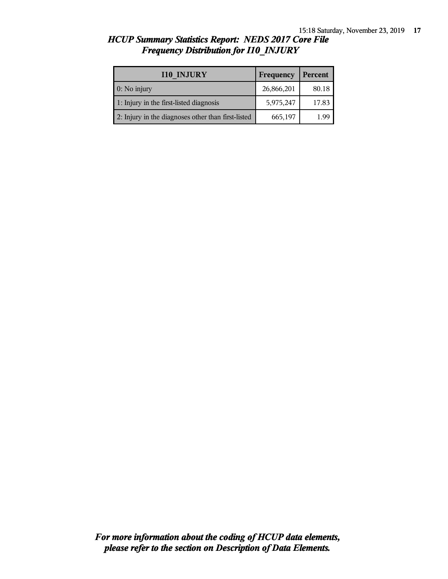#### *HCUP Summary Statistics Report: NEDS 2017 Core File Frequency Distribution for I10\_INJURY*

| <b>I10 INJURY</b>                                  | Frequency  | Percent |
|----------------------------------------------------|------------|---------|
| 0: No injury                                       | 26,866,201 | 80.18   |
| 1: Injury in the first-listed diagnosis            | 5,975,247  | 17.83   |
| 2: Injury in the diagnoses other than first-listed | 665,197    | 1.99    |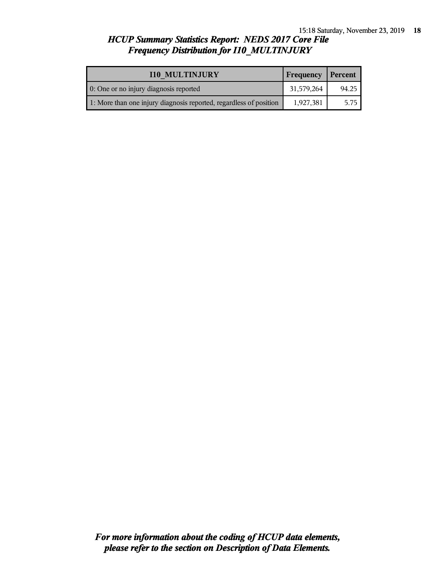# *HCUP Summary Statistics Report: NEDS 2017 Core File Frequency Distribution for I10\_MULTINJURY*

| <b>I10 MULTINJURY</b>                                              | Frequency  | Percent |
|--------------------------------------------------------------------|------------|---------|
| 0: One or no injury diagnosis reported                             | 31,579,264 | 94.25   |
| 1: More than one injury diagnosis reported, regardless of position | 1,927,381  | 5.75    |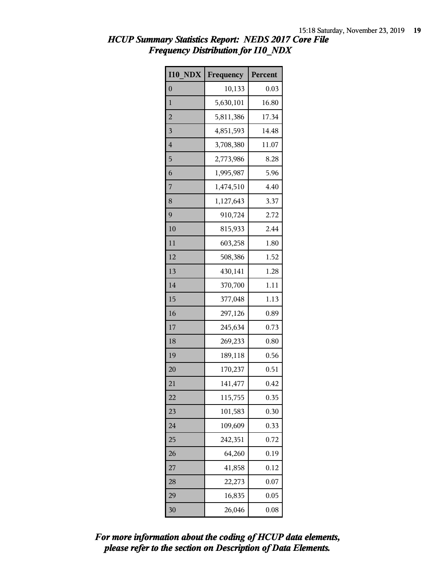# *HCUP Summary Statistics Report: NEDS 2017 Core File Frequency Distribution for I10\_NDX*

| <b>I10 NDX</b>   | Frequency | Percent |
|------------------|-----------|---------|
| $\boldsymbol{0}$ | 10,133    | 0.03    |
| 1                | 5,630,101 | 16.80   |
| $\overline{c}$   | 5,811,386 | 17.34   |
| 3                | 4,851,593 | 14.48   |
| $\overline{4}$   | 3,708,380 | 11.07   |
| 5                | 2,773,986 | 8.28    |
| 6                | 1,995,987 | 5.96    |
| 7                | 1,474,510 | 4.40    |
| 8                | 1,127,643 | 3.37    |
| 9                | 910,724   | 2.72    |
| 10               | 815,933   | 2.44    |
| 11               | 603,258   | 1.80    |
| 12               | 508,386   | 1.52    |
| 13               | 430,141   | 1.28    |
| 14               | 370,700   | 1.11    |
| 15               | 377,048   | 1.13    |
| 16               | 297,126   | 0.89    |
| 17               | 245,634   | 0.73    |
| 18               | 269,233   | 0.80    |
| 19               | 189,118   | 0.56    |
| 20               | 170,237   | 0.51    |
| 21               | 141,477   | 0.42    |
| 22               | 115,755   | 0.35    |
| 23               | 101,583   | 0.30    |
| 24               | 109,609   | 0.33    |
| 25               | 242,351   | 0.72    |
| 26               | 64,260    | 0.19    |
| 27               | 41,858    | 0.12    |
| 28               | 22,273    | 0.07    |
| 29               | 16,835    | 0.05    |
| 30               | 26,046    | 0.08    |

*please refer to the section on Description of Data Elements. For more information about the coding of HCUP data elements,*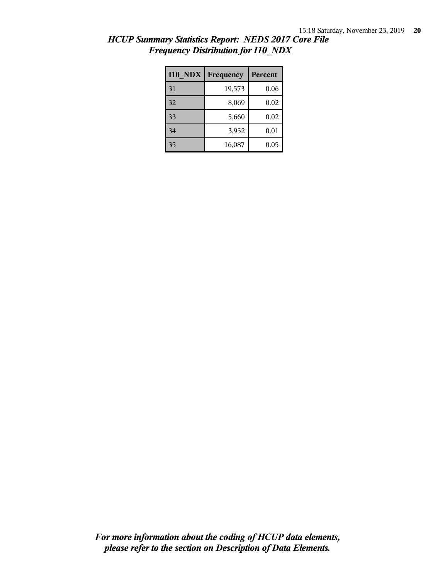| <b>I10 NDX</b> | Frequency | <b>Percent</b> |
|----------------|-----------|----------------|
| 31             | 19,573    | 0.06           |
| 32             | 8,069     | 0.02           |
| 33             | 5,660     | 0.02           |
| 34             | 3,952     | 0.01           |
| 35             | 16,087    | 0.05           |

# *HCUP Summary Statistics Report: NEDS 2017 Core File Frequency Distribution for I10\_NDX*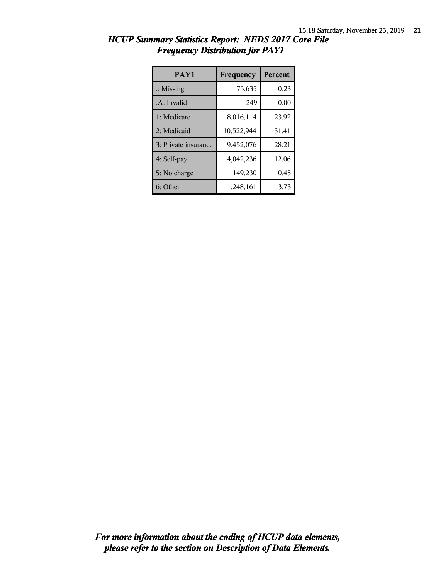| PAY1                 | Frequency  | <b>Percent</b> |
|----------------------|------------|----------------|
| $\therefore$ Missing | 75,635     | 0.23           |
| .A: Invalid          | 249        | 0.00           |
| 1: Medicare          | 8,016,114  | 23.92          |
| 2: Medicaid          | 10,522,944 | 31.41          |
| 3: Private insurance | 9,452,076  | 28.21          |
| 4: Self-pay          | 4,042,236  | 12.06          |
| 5: No charge         | 149,230    | 0.45           |
| 6: Other             | 1,248,161  | 3.73           |

| HCUP Summary Statistics Report: NEDS 2017 Core File |                                        |  |  |  |
|-----------------------------------------------------|----------------------------------------|--|--|--|
|                                                     | <b>Frequency Distribution for PAY1</b> |  |  |  |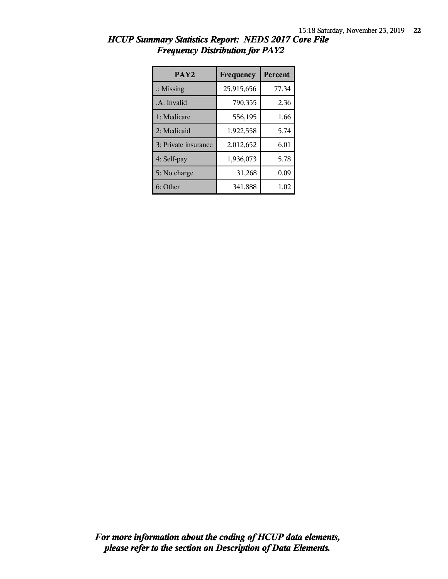| PAY <sub>2</sub>     | Frequency  | <b>Percent</b> |
|----------------------|------------|----------------|
| $\therefore$ Missing | 25,915,656 | 77.34          |
| .A: Invalid          | 790,355    | 2.36           |
| 1: Medicare          | 556,195    | 1.66           |
| 2: Medicaid          | 1,922,558  | 5.74           |
| 3: Private insurance | 2,012,652  | 6.01           |
| 4: Self-pay          | 1,936,073  | 5.78           |
| 5: No charge         | 31,268     | 0.09           |
| 6: Other             | 341,888    | 1.02           |

|  |  |                                        | HCUP Summary Statistics Report: NEDS 2017 Core File |  |
|--|--|----------------------------------------|-----------------------------------------------------|--|
|  |  | <b>Frequency Distribution for PAY2</b> |                                                     |  |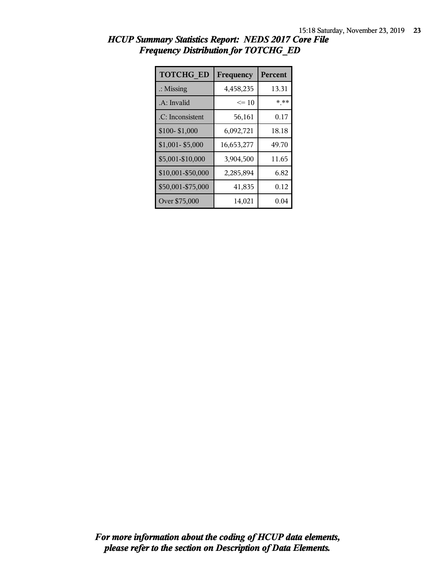| <b>TOTCHG ED</b>     | Frequency  | <b>Percent</b> |  |
|----------------------|------------|----------------|--|
| $\therefore$ Missing | 4,458,235  | 13.31          |  |
| .A: Invalid          | $\leq 10$  | * **           |  |
| .C: Inconsistent     | 56,161     | 0.17           |  |
| \$100-\$1,000        | 6,092,721  | 18.18          |  |
| $$1,001 - $5,000$    | 16,653,277 | 49.70          |  |
| \$5,001-\$10,000     | 3,904,500  | 11.65          |  |
| \$10,001-\$50,000    | 2,285,894  | 6.82           |  |
| \$50,001-\$75,000    | 41,835     | 0.12           |  |
| Over \$75,000        | 14,021     | 0.04           |  |

| HCUP Summary Statistics Report: NEDS 2017 Core File |  |
|-----------------------------------------------------|--|
| <b>Frequency Distribution for TOTCHG_ED</b>         |  |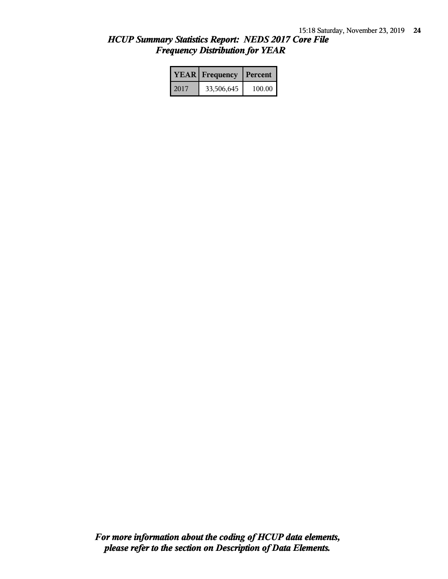# *HCUP Summary Statistics Report: NEDS 2017 Core File Frequency Distribution for YEAR*

|      | <b>YEAR</b> Frequency | <b>Percent</b> |  |
|------|-----------------------|----------------|--|
| 2017 | 33,506,645            | 100.00         |  |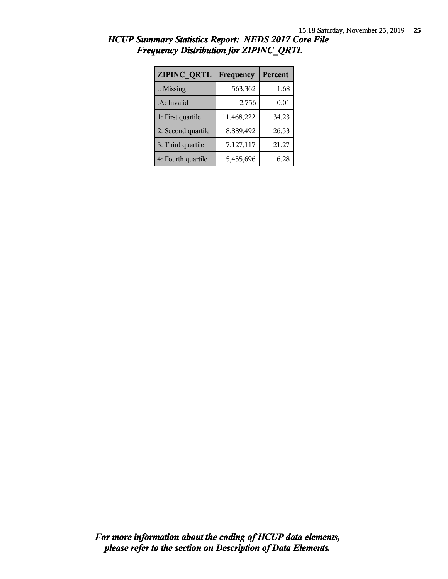| ZIPINC QRTL          | Frequency  | <b>Percent</b> |  |
|----------------------|------------|----------------|--|
| $\therefore$ Missing | 563,362    | 1.68           |  |
| .A: Invalid          | 2,756      | 0.01           |  |
| 1: First quartile    | 11,468,222 | 34.23          |  |
| 2: Second quartile   | 8,889,492  | 26.53          |  |
| 3: Third quartile    | 7,127,117  | 21.27          |  |
| 4: Fourth quartile   | 5,455,696  | 16.28          |  |

# *HCUP Summary Statistics Report: NEDS 2017 Core File Frequency Distribution for ZIPINC\_QRTL*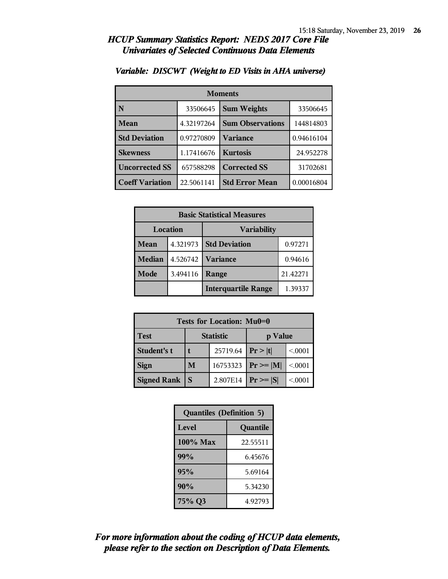| <b>Moments</b>                     |                                  |                         |            |  |
|------------------------------------|----------------------------------|-------------------------|------------|--|
| N                                  | 33506645                         | <b>Sum Weights</b>      | 33506645   |  |
| <b>Mean</b>                        | 4.32197264                       | <b>Sum Observations</b> | 144814803  |  |
| <b>Std Deviation</b><br>0.97270809 |                                  | <b>Variance</b>         | 0.94616104 |  |
| <b>Skewness</b><br>1.17416676      |                                  | <b>Kurtosis</b>         | 24.952278  |  |
| <b>Uncorrected SS</b>              | <b>Corrected SS</b><br>657588298 |                         | 31702681   |  |
| <b>Coeff Variation</b>             | 22.5061141                       | <b>Std Error Mean</b>   | 0.00016804 |  |

#### *Variable: DISCWT (Weight to ED Visits in AHA universe)*

| <b>Basic Statistical Measures</b>     |          |                            |          |  |
|---------------------------------------|----------|----------------------------|----------|--|
| <b>Location</b><br><b>Variability</b> |          |                            |          |  |
| Mean                                  | 4.321973 | <b>Std Deviation</b>       | 0.97271  |  |
| <b>Median</b>                         | 4.526742 | <b>Variance</b>            | 0.94616  |  |
| Mode                                  | 3.494116 | Range                      | 21.42271 |  |
|                                       |          | <b>Interquartile Range</b> | 1.39337  |  |

| <b>Tests for Location: Mu0=0</b> |                             |          |                |        |  |
|----------------------------------|-----------------------------|----------|----------------|--------|--|
| <b>Test</b>                      | <b>Statistic</b><br>p Value |          |                |        |  |
| <b>Student's t</b>               | 25719.64                    |          | Pr> t          | < 0001 |  |
| <b>Sign</b>                      | M                           | 16753323 | $Pr \ge =  M $ | < 0001 |  |
| <b>Signed Rank</b>               |                             | 2.807E14 | $Pr \geq  S $  | < 0001 |  |

| <b>Quantiles (Definition 5)</b> |          |  |  |
|---------------------------------|----------|--|--|
| Level<br>Quantile               |          |  |  |
| $100\%$ Max                     | 22.55511 |  |  |
| 99%                             | 6.45676  |  |  |
| 95%                             | 5.69164  |  |  |
| 90%                             | 5.34230  |  |  |
| 75% Q3                          | 4.92793  |  |  |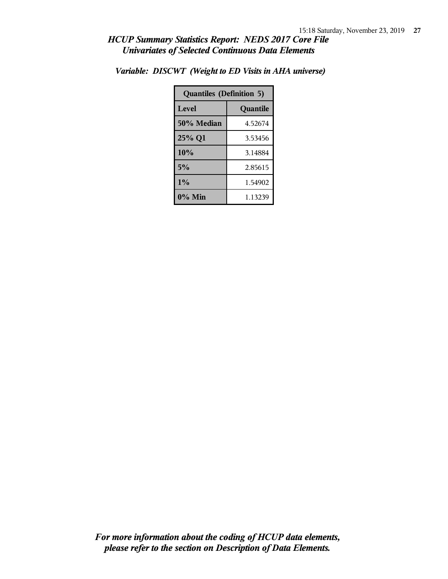| <b>Quantiles (Definition 5)</b> |          |  |  |
|---------------------------------|----------|--|--|
| Level                           | Quantile |  |  |
| 50% Median                      | 4.52674  |  |  |
| 25% Q1                          | 3.53456  |  |  |
| 10%                             | 3.14884  |  |  |
| 5%                              | 2.85615  |  |  |
| $1\%$                           | 1.54902  |  |  |
| $0\%$ Min                       | 1.13239  |  |  |

*Variable: DISCWT (Weight to ED Visits in AHA universe)*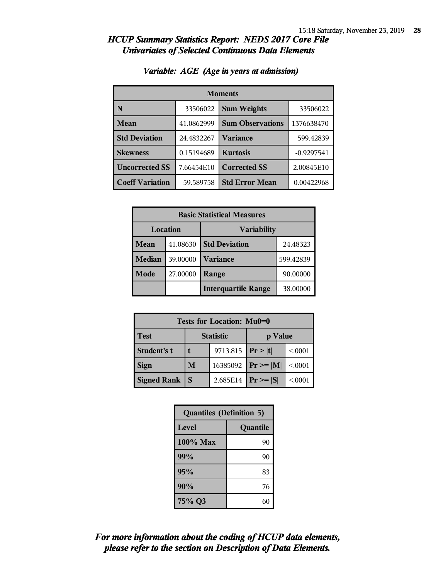| <b>Moments</b>         |                               |                         |              |  |
|------------------------|-------------------------------|-------------------------|--------------|--|
| N                      | 33506022                      | <b>Sum Weights</b>      | 33506022     |  |
| <b>Mean</b>            | 41.0862999                    | <b>Sum Observations</b> | 1376638470   |  |
| <b>Std Deviation</b>   | 24.4832267                    | Variance                | 599.42839    |  |
| <b>Skewness</b>        | <b>Kurtosis</b><br>0.15194689 |                         | $-0.9297541$ |  |
| <b>Uncorrected SS</b>  | 7.66454E10                    | <b>Corrected SS</b>     | 2.00845E10   |  |
| <b>Coeff Variation</b> | 59.589758                     | <b>Std Error Mean</b>   | 0.00422968   |  |

#### *Variable: AGE (Age in years at admission)*

| <b>Basic Statistical Measures</b> |          |                            |           |  |
|-----------------------------------|----------|----------------------------|-----------|--|
| Location<br><b>Variability</b>    |          |                            |           |  |
| <b>Mean</b>                       | 41.08630 | <b>Std Deviation</b>       | 24.48323  |  |
| <b>Median</b>                     | 39.00000 | <b>Variance</b>            | 599.42839 |  |
| Mode                              | 27.00000 | Range                      | 90.00000  |  |
|                                   |          | <b>Interquartile Range</b> | 38.00000  |  |

| Tests for Location: Mu0=0 |                             |                       |               |        |  |
|---------------------------|-----------------------------|-----------------------|---------------|--------|--|
| <b>Test</b>               | <b>Statistic</b><br>p Value |                       |               |        |  |
| <b>Student's t</b>        |                             | 9713.815   $Pr >  t $ |               | < 0001 |  |
| <b>Sign</b>               | M                           | 16385092              | $Pr \geq  M $ | < 0001 |  |
| <b>Signed Rank</b>        |                             | 2.685E14              | $Pr \geq  S $ | < 0001 |  |

| <b>Quantiles (Definition 5)</b> |          |  |
|---------------------------------|----------|--|
| <b>Level</b>                    | Quantile |  |
| $100\%$ Max                     | 90       |  |
| 99%                             | 90       |  |
| 95%                             | 83       |  |
| 90%                             | 76       |  |
| 75% Q3                          | 60       |  |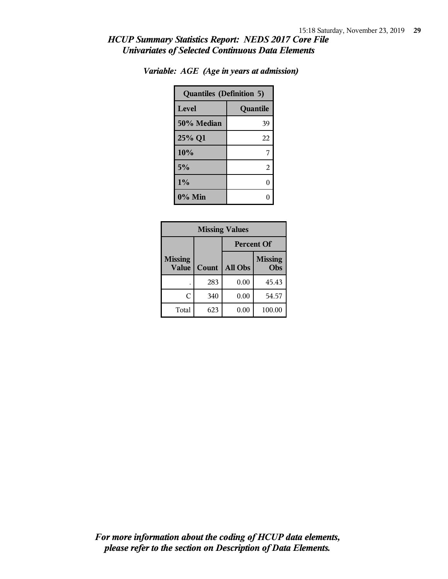| <b>Quantiles (Definition 5)</b> |          |  |
|---------------------------------|----------|--|
| Level                           | Quantile |  |
| 50% Median                      | 39       |  |
| 25% Q1                          | 22       |  |
| 10%                             | 7        |  |
| 5%                              | 2        |  |
| 1%                              | 0        |  |
| $0\%$ Min                       |          |  |

| <b>Missing Values</b>          |       |                   |                       |
|--------------------------------|-------|-------------------|-----------------------|
|                                |       | <b>Percent Of</b> |                       |
| <b>Missing</b><br><b>Value</b> | Count | All Obs           | <b>Missing</b><br>Obs |
|                                | 283   | 0.00              | 45.43                 |
| C                              | 340   | 0.00              | 54.57                 |
| Total                          | 623   | 0.00              | 100.00                |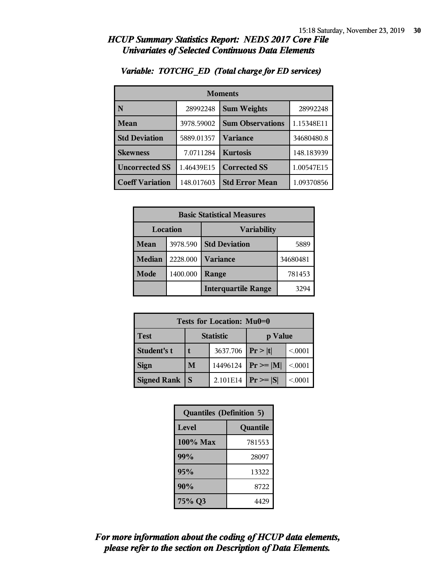| <b>Moments</b>         |            |                         |            |
|------------------------|------------|-------------------------|------------|
| N                      | 28992248   | <b>Sum Weights</b>      | 28992248   |
| <b>Mean</b>            | 3978.59002 | <b>Sum Observations</b> | 1.15348E11 |
| <b>Std Deviation</b>   | 5889.01357 | <b>Variance</b>         | 34680480.8 |
| <b>Skewness</b>        | 7.0711284  | <b>Kurtosis</b>         | 148.183939 |
| <b>Uncorrected SS</b>  | 1.46439E15 | <b>Corrected SS</b>     | 1.00547E15 |
| <b>Coeff Variation</b> | 148.017603 | <b>Std Error Mean</b>   | 1.09370856 |

#### *Variable: TOTCHG\_ED (Total charge for ED services)*

| <b>Basic Statistical Measures</b> |          |                            |          |
|-----------------------------------|----------|----------------------------|----------|
| Location                          |          | <b>Variability</b>         |          |
| <b>Mean</b>                       | 3978.590 | <b>Std Deviation</b>       | 5889     |
| <b>Median</b>                     | 2228.000 | <b>Variance</b>            | 34680481 |
| Mode                              | 1400.000 | Range                      | 781453   |
|                                   |          | <b>Interquartile Range</b> | 3294     |

| Tests for Location: Mu0=0       |   |          |               |        |
|---------------------------------|---|----------|---------------|--------|
| <b>Test</b><br><b>Statistic</b> |   |          | p Value       |        |
| Student's t                     |   | 3637.706 | Pr> t         | < 0001 |
| <b>Sign</b>                     | M | 14496124 | $Pr \geq  M $ | < 0001 |
| <b>Signed Rank</b>              | S | 2.101E14 | $Pr \geq  S $ | < 0001 |

| <b>Quantiles (Definition 5)</b> |        |  |
|---------------------------------|--------|--|
| <b>Level</b><br>Quantile        |        |  |
| $100\%$ Max                     | 781553 |  |
| 99%                             | 28097  |  |
| 95%                             | 13322  |  |
| 90%                             | 8722   |  |
| 75% Q3                          | 4429   |  |